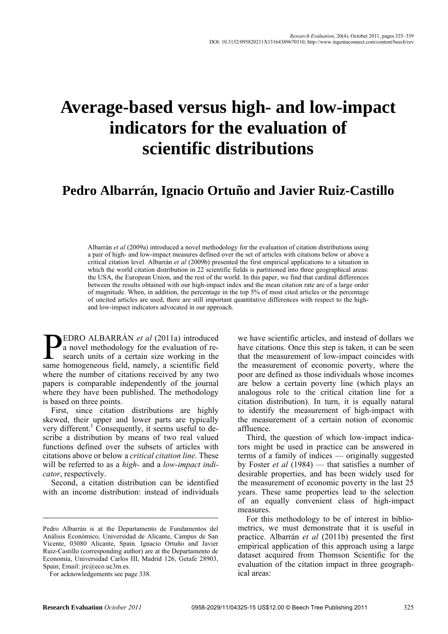# **Average-based versus high- and low-impact indicators for the evaluation of scientific distributions**

# **Pedro Albarrán, Ignacio Ortuño and Javier Ruiz-Castillo**

Albarrán *et al* (2009a) introduced a novel methodology for the evaluation of citation distributions using a pair of high- and low-impact measures defined over the set of articles with citations below or above a critical citation level. Albarrán *et al* (2009b) presented the first empirical applications to a situation in which the world citation distribution in 22 scientific fields is partitioned into three geographical areas: the USA, the European Union, and the rest of the world. In this paper, we find that cardinal differences between the results obtained with our high-impact index and the mean citation rate are of a large order of magnitude. When, in addition, the percentage in the top 5% of most cited articles or the percentage of uncited articles are used, there are still important quantitative differences with respect to the highand low-impact indicators advocated in our approach.

EDRO ALBARRÁN *et al* (2011a) introduced a novel methodology for the evaluation of research units of a certain size working in the **EDRO ALBARRÁN** et al (2011a) introduced a novel methodology for the evaluation of research units of a certain size working in the same homogeneous field, namely, a scientific field where the number of citations received by any two papers is comparable independently of the journal where they have been published. The methodology is based on three points.

First, since citation distributions are highly skewed, their upper and lower parts are typically very different.<sup>1</sup> Consequently, it seems useful to describe a distribution by means of two real valued functions defined over the subsets of articles with citations above or below a *critical citation line*. These will be referred to as a *high-* and a *low-impact indicator*, respectively.

Second, a citation distribution can be identified with an income distribution: instead of individuals

we have scientific articles, and instead of dollars we have citations. Once this step is taken, it can be seen that the measurement of low-impact coincides with the measurement of economic poverty, where the poor are defined as those individuals whose incomes are below a certain poverty line (which plays an analogous role to the critical citation line for a citation distribution). In turn, it is equally natural to identify the measurement of high-impact with the measurement of a certain notion of economic affluence.

Third, the question of which low-impact indicators might be used in practice can be answered in terms of a family of indices — originally suggested by Foster *et al* (1984) — that satisfies a number of desirable properties, and has been widely used for the measurement of economic poverty in the last 25 years. These same properties lead to the selection of an equally convenient class of high-impact measures.

For this methodology to be of interest in bibliometrics, we must demonstrate that it is useful in practice. Albarrán *et al* (2011b) presented the first empirical application of this approach using a large dataset acquired from Thomson Scientific for the evaluation of the citation impact in three geographical areas:

Pedro Albarrán is at the Departamento de Fundamentos del Análisis Económico, Universidad de Alicante, Campus de San Vicente, 03080 Alicante, Spain. Ignacio Ortuño and Javier Ruiz-Castillo (corresponding author) are at the Departamento de Economía, Universidad Carlos III, Madrid 126, Getafe 28903, Spain; Email: jrc@eco.uc3m.es.

For acknowledgements see page 338.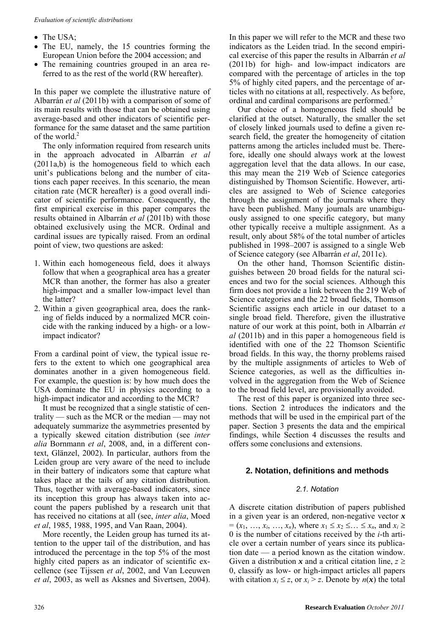- The USA;
- The EU, namely, the 15 countries forming the European Union before the 2004 accession; and
- The remaining countries grouped in an area referred to as the rest of the world (RW hereafter).

In this paper we complete the illustrative nature of Albarrán *et al* (2011b) with a comparison of some of its main results with those that can be obtained using average-based and other indicators of scientific performance for the same dataset and the same partition of the world.<sup>2</sup>

The only information required from research units in the approach advocated in Albarrán *et al* (2011a,b) is the homogeneous field to which each unit's publications belong and the number of citations each paper receives. In this scenario, the mean citation rate (MCR hereafter) is a good overall indicator of scientific performance. Consequently, the first empirical exercise in this paper compares the results obtained in Albarrán *et al* (2011b) with those obtained exclusively using the MCR. Ordinal and cardinal issues are typically raised. From an ordinal point of view, two questions are asked:

- 1. Within each homogeneous field, does it always follow that when a geographical area has a greater MCR than another, the former has also a greater high-impact and a smaller low-impact level than the latter?
- 2. Within a given geographical area, does the ranking of fields induced by a normalized MCR coincide with the ranking induced by a high- or a lowimpact indicator?

From a cardinal point of view, the typical issue refers to the extent to which one geographical area dominates another in a given homogeneous field. For example, the question is: by how much does the USA dominate the EU in physics according to a high-impact indicator and according to the MCR?

It must be recognized that a single statistic of centrality — such as the MCR or the median — may not adequately summarize the asymmetries presented by a typically skewed citation distribution (see *inter alia* Bornmann *et al*, 2008, and, in a different context, Glänzel, 2002). In particular, authors from the Leiden group are very aware of the need to include in their battery of indicators some that capture what takes place at the tails of any citation distribution. Thus, together with average-based indicators, since its inception this group has always taken into account the papers published by a research unit that has received no citations at all (see, *inter alia*, Moed *et al*, 1985, 1988, 1995, and Van Raan, 2004).

More recently, the Leiden group has turned its attention to the upper tail of the distribution, and has introduced the percentage in the top 5% of the most highly cited papers as an indicator of scientific excellence (see Tijssen *et al*, 2002, and Van Leeuwen *et al*, 2003, as well as Aksnes and Sivertsen, 2004).

In this paper we will refer to the MCR and these two indicators as the Leiden triad. In the second empirical exercise of this paper the results in Albarrán *et al* (2011b) for high- and low-impact indicators are compared with the percentage of articles in the top 5% of highly cited papers, and the percentage of articles with no citations at all, respectively. As before, ordinal and cardinal comparisons are performed.<sup>3</sup>

Our choice of a homogeneous field should be clarified at the outset. Naturally, the smaller the set of closely linked journals used to define a given research field, the greater the homogeneity of citation patterns among the articles included must be. Therefore, ideally one should always work at the lowest aggregation level that the data allows. In our case, this may mean the 219 Web of Science categories distinguished by Thomson Scientific. However, articles are assigned to Web of Science categories through the assignment of the journals where they have been published. Many journals are unambiguously assigned to one specific category, but many other typically receive a multiple assignment. As a result, only about 58% of the total number of articles published in 1998–2007 is assigned to a single Web of Science category (see Albarrán *et al*, 2011c).

On the other hand, Thomson Scientific distinguishes between 20 broad fields for the natural sciences and two for the social sciences. Although this firm does not provide a link between the 219 Web of Science categories and the 22 broad fields, Thomson Scientific assigns each article in our dataset to a single broad field. Therefore, given the illustrative nature of our work at this point, both in Albarrán *et al* (2011b) and in this paper a homogeneous field is identified with one of the 22 Thomson Scientific broad fields. In this way, the thorny problems raised by the multiple assignments of articles to Web of Science categories, as well as the difficulties involved in the aggregation from the Web of Science to the broad field level, are provisionally avoided.

The rest of this paper is organized into three sections. Section 2 introduces the indicators and the methods that will be used in the empirical part of the paper. Section 3 presents the data and the empirical findings, while Section 4 discusses the results and offers some conclusions and extensions.

# **2. Notation, definitions and methods**

# *2.1. Notation*

A discrete citation distribution of papers published in a given year is an ordered, non-negative vector *x*  $=(x_1, \ldots, x_i, \ldots, x_n)$ , where  $x_1 \le x_2 \le \ldots \le x_n$ , and  $x_i \ge$ 0 is the number of citations received by the *i*-th article over a certain number of years since its publication date — a period known as the citation window. Given a distribution x and a critical citation line,  $z \geq$ 0, classify as low- or high-impact articles all papers with citation  $x_i \leq z$ , or  $x_i > z$ . Denote by  $n(x)$  the total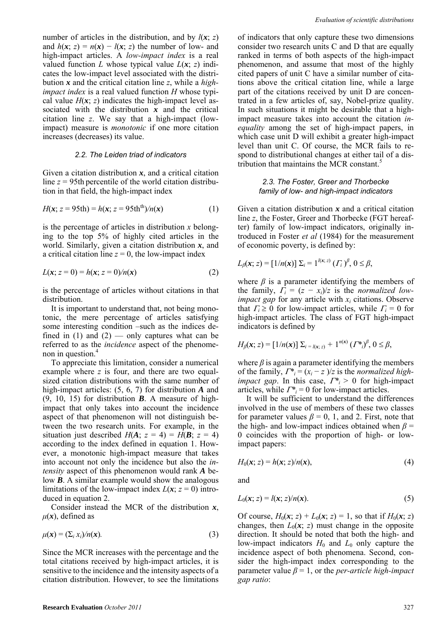number of articles in the distribution, and by  $l(x; z)$ and  $h(x; z) = n(x) - l(x; z)$  the number of low- and high-impact articles. A *low-impact index* is a real valued function *L* whose typical value  $L(x; z)$  indicates the low-impact level associated with the distribution *x* and the critical citation line *z*, while a *highimpact index* is a real valued function *H* whose typical value  $H(x; z)$  indicates the high-impact level associated with the distribution  $x$  and the critical citation line *z*. We say that a high-impact (lowimpact) measure is *monotonic* if one more citation increases (decreases) its value.

#### *2.2. The Leiden triad of indicators*

Given a citation distribution  $x$ , and a critical citation line *z* = 95th percentile of the world citation distribution in that field, the high-impact index

$$
H(x; z = 95th) = h(x; z = 95thth)/n(x)
$$
 (1)

is the percentage of articles in distribution *x* belonging to the top 5% of highly cited articles in the world. Similarly, given a citation distribution *x*, and a critical citation line  $z = 0$ , the low-impact index

$$
L(x; z = 0) = h(x; z = 0) / n(x)
$$
 (2)

is the percentage of articles without citations in that distribution.

It is important to understand that, not being monotonic, the mere percentage of articles satisfying some interesting condition –such as the indices defined in (1) and (2) — only captures what can be referred to as the *incidence* aspect of the phenomenon in question.<sup>4</sup>

To appreciate this limitation, consider a numerical example where *z* is four, and there are two equalsized citation distributions with the same number of high-impact articles: (5, 6, 7) for distribution *A* and (9, 10, 15) for distribution *B*. A measure of highimpact that only takes into account the incidence aspect of that phenomenon will not distinguish between the two research units. For example, in the situation just described  $H(A; z = 4) = H(B; z = 4)$ according to the index defined in equation 1. However, a monotonic high-impact measure that takes into account not only the incidence but also the *intensity* aspect of this phenomenon would rank *A* below *B*. A similar example would show the analogous limitations of the low-impact index  $L(x; z = 0)$  introduced in equation 2.

Consider instead the MCR of the distribution *x*,  $\mu(x)$ , defined as

$$
\mu(\mathbf{x}) = (\sum_{i} x_i)/n(\mathbf{x}).\tag{3}
$$

Since the MCR increases with the percentage and the total citations received by high-impact articles, it is sensitive to the incidence and the intensity aspects of a citation distribution. However, to see the limitations of indicators that only capture these two dimensions consider two research units C and D that are equally ranked in terms of both aspects of the high-impact phenomenon, and assume that most of the highly cited papers of unit C have a similar number of citations above the critical citation line, while a large part of the citations received by unit D are concentrated in a few articles of, say, Nobel-prize quality. In such situations it might be desirable that a highimpact measure takes into account the citation *inequality* among the set of high-impact papers, in which case unit D will exhibit a greater high-impact level than unit C. Of course, the MCR fails to respond to distributional changes at either tail of a distribution that maintains the MCR constant.<sup>5</sup>

#### *2.3. The Foster, Greer and Thorbecke family of low- and high-impact indicators*

Given a citation distribution *x* and a critical citation line *z*, the Foster, Greer and Thorbecke (FGT hereafter) family of low-impact indicators, originally introduced in Foster *et al* (1984) for the measurement of economic poverty, is defined by:

$$
L_{\beta}(x; z) = [1/n(x)] \sum_{i} = 1^{l(x; z)} (T_i)^{\beta}, 0 \leq \beta,
$$

where  $\beta$  is a parameter identifying the members of the family,  $\Gamma_i = (z - x_i)/z$  is the *normalized lowimpact gap* for any article with *xi* citations. Observe that  $\Gamma_i \geq 0$  for low-impact articles, while  $\Gamma_i = 0$  for high-impact articles. The class of FGT high-impact indicators is defined by

$$
H_{\beta}(x; z) = [1/n(x)] \sum_{i=l(x; z)} 1^{n(x)} (T^*)^{\beta}, 0 \leq \beta,
$$

where  $\beta$  is again a parameter identifying the members of the family,  $\Gamma^*_{i} = (x_i - z_i)/z$  is the *normalized* high*impact gap*. In this case,  $\Gamma^*_{i} > 0$  for high-impact articles, while  $\Gamma^*_{i} = 0$  for low-impact articles.

It will be sufficient to understand the differences involved in the use of members of these two classes for parameter values  $\beta = 0$ , 1, and 2. First, note that the high- and low-impact indices obtained when  $\beta$  = 0 coincides with the proportion of high- or lowimpact papers:

$$
H_0(\mathbf{x}; z) = h(\mathbf{x}; z) / n(\mathbf{x}), \tag{4}
$$

and

$$
L_0(\mathbf{x}; z) = l(\mathbf{x}; z) / n(\mathbf{x}).
$$
\n<sup>(5)</sup>

Of course,  $H_0(x; z) + L_0(x; z) = 1$ , so that if  $H_0(x; z)$ changes, then  $L_0(x; z)$  must change in the opposite direction. It should be noted that both the high- and low-impact indicators  $H_0$  and  $L_0$  only capture the incidence aspect of both phenomena. Second, consider the high-impact index corresponding to the parameter value *β* = 1, or the *per-article high-impact gap ratio*: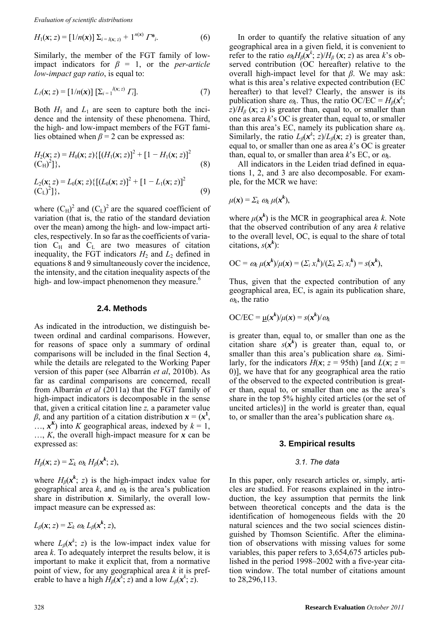$$
H_1(\mathbf{x}; z) = [1/n(\mathbf{x})] \sum_{i=l(\mathbf{x}; z)} + 1^{n(\mathbf{x})} \Gamma^*_{i}.
$$
 (6)

Similarly, the member of the FGT family of lowimpact indicators for  $\beta = 1$ , or the *per-article low-impact gap ratio*, is equal to:

$$
L_{I}(\mathbf{x}; z) = [1/n(\mathbf{x})] [\sum_{i=1}^{l(\mathbf{x}; z)} \Gamma_{i}].
$$
 (7)

Both  $H_1$  and  $L_1$  are seen to capture both the incidence and the intensity of these phenomena. Third, the high- and low-impact members of the FGT families obtained when *β* = 2 can be expressed as:

$$
H_2(\mathbf{x}; z) = H_0(\mathbf{x}; z) \{ [(H_1(\mathbf{x}; z)]^2 + [1 - H_1(\mathbf{x}; z)]^2
$$
  
(C<sub>H</sub>)<sup>2</sup>]\}, (8)

$$
L_2(\mathbf{x}; z) = L_0(\mathbf{x}; z) \{ [(L_0(\mathbf{x}; z)]^2 + [1 - L_1(\mathbf{x}; z)]^2
$$
  
(C<sub>L</sub>)<sup>2</sup>]\}, (9)

where  $(C_H)^2$  and  $(C_L)^2$  are the squared coefficient of variation (that is, the ratio of the standard deviation over the mean) among the high- and low-impact articles, respectively. In so far asthe coefficients of variation  $C_H$  and  $C_L$  are two measures of citation inequality, the FGT indicators  $H_2$  and  $L_2$  defined in equations 8 and 9 simultaneously cover the incidence, the intensity, and the citation inequality aspects of the high- and low-impact phenomenon they measure.<sup>6</sup>

#### **2.4. Methods**

As indicated in the introduction, we distinguish between ordinal and cardinal comparisons. However, for reasons of space only a summary of ordinal comparisons will be included in the final Section 4, while the details are relegated to the Working Paper version of this paper (see Albarrán *et al*, 2010b). As far as cardinal comparisons are concerned, recall from Albarrán *et al* (2011a) that the FGT family of high-impact indicators is decomposable in the sense that, given a critical citation line *z,* a parameter value *β*, and any partition of a citation distribution  $x = (x^1)$ ,  $\ldots$ ,  $x^{K}$ ) into *K* geographical areas, indexed by  $k = 1$ , …, *K*, the overall high-impact measure for *x* can be expressed as:

$$
H_{\beta}(x; z) = \Sigma_k \omega_k H_{\beta}(x^k; z),
$$

where  $H_\beta(x^k; z)$  is the high-impact index value for geographical area  $k$ , and  $\omega_k$  is the area's publication share in distribution *x*. Similarly, the overall lowimpact measure can be expressed as:

$$
L_{\beta}(\mathbf{x}; z) = \Sigma_k \omega_k L_{\beta}(\mathbf{x}^k; z),
$$

where  $L_{\beta}(x^k; z)$  is the low-impact index value for area *k*. To adequately interpret the results below, it is important to make it explicit that, from a normative point of view, for any geographical area *k* it is preferable to have a high  $H_\beta(x^k; z)$  and a low  $L_\beta(x^k; z)$ .

In order to quantify the relative situation of any geographical area in a given field, it is convenient to refer to the ratio  $\omega_k H_\beta(\mathbf{x}^k; z)/H_\beta(\mathbf{x}; z)$  as area *k*'s observed contribution (OC hereafter) relative to the overall high-impact level for that *β*. We may ask: what is this area's relative expected contribution (EC hereafter) to that level? Clearly, the answer is its publication share  $\omega_k$ . Thus, the ratio OC/EC =  $H_\beta(x^k)$ ;  $z/H$ <sup>*β*</sup> (*x*; *z*) is greater than, equal to, or smaller than one as area *k*'s OC is greater than, equal to, or smaller than this area's EC, namely its publication share  $\omega_k$ . Similarly, the ratio  $L_{\beta}(x^k; z)/L_{\beta}(x; z)$  is greater than, equal to, or smaller than one as area *k*'s OC is greater than, equal to, or smaller than area  $k$ 's EC, or  $\omega_k$ .

All indicators in the Leiden triad defined in equations 1, 2, and 3 are also decomposable. For example, for the MCR we have:

$$
\mu(\mathbf{x}) = \sum_k \omega_k \mu(\mathbf{x}^k),
$$

where  $\mu(x^k)$  is the MCR in geographical area *k*. Note that the observed contribution of any area *k* relative to the overall level, OC, is equal to the share of total citations,  $s(x^k)$ :

$$
\mathrm{OC} = \omega_k \mu(\mathbf{x}^k)/\mu(\mathbf{x}) = (\Sigma_i x_i^k)/(\Sigma_k \Sigma_i x_i^k) = s(\mathbf{x}^k),
$$

Thus, given that the expected contribution of any geographical area, EC, is again its publication share,  $\omega_k$ , the ratio

$$
\text{OC/EC} = \underline{\mu}(\mathbf{x}^k)/\mu(\mathbf{x}) = s(\mathbf{x}^k)/\omega_k
$$

is greater than, equal to, or smaller than one as the citation share  $s(x^k)$  is greater than, equal to, or smaller than this area's publication share  $\omega_k$ . Similarly, for the indicators  $H(x; z = 95th)$  [and  $L(x; z =$ 0), we have that for any geographical area the ratio of the observed to the expected contribution is greater than, equal to, or smaller than one as the area's share in the top 5% highly cited articles (or the set of uncited articles)] in the world is greater than, equal to, or smaller than the area's publication share  $\omega_k$ .

#### **3. Empirical results**

#### *3.1. The data*

In this paper, only research articles or, simply, articles are studied. For reasons explained in the introduction, the key assumption that permits the link between theoretical concepts and the data is the identification of homogeneous fields with the 20 natural sciences and the two social sciences distinguished by Thomson Scientific. After the elimination of observations with missing values for some variables, this paper refers to 3,654,675 articles published in the period 1998–2002 with a five-year citation window. The total number of citations amount to 28,296,113.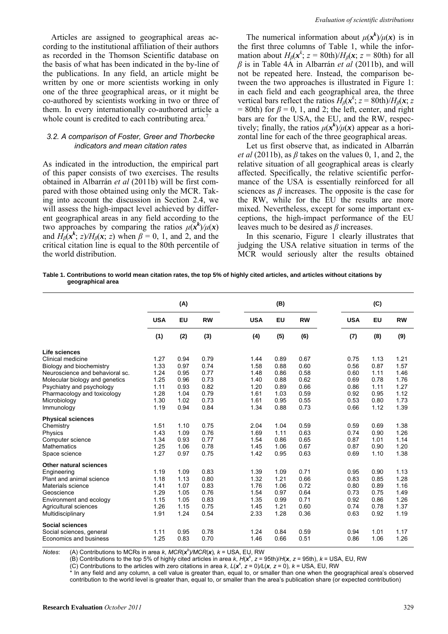Articles are assigned to geographical areas according to the institutional affiliation of their authors as recorded in the Thomson Scientific database on the basis of what has been indicated in the by-line of the publications. In any field, an article might be written by one or more scientists working in only one of the three geographical areas, or it might be co-authored by scientists working in two or three of them. In every internationally co-authored article a whole count is credited to each contributing area.<sup>7</sup>

#### *3.2. A comparison of Foster, Greer and Thorbecke indicators and mean citation rates*

As indicated in the introduction, the empirical part of this paper consists of two exercises. The results obtained in Albarrán *et al* (2011b) will be first compared with those obtained using only the MCR. Taking into account the discussion in Section 2.4, we will assess the high-impact level achieved by different geographical areas in any field according to the two approaches by comparing the ratios  $\mu(\mathbf{x}^k)/\mu(\mathbf{x})$ and  $H_\beta(x^k; z)/H_\beta(x; z)$  when  $\beta = 0, 1$ , and 2, and the critical citation line is equal to the 80th percentile of the world distribution.

The numerical information about  $\mu(x^k)/\mu(x)$  is in the first three columns of Table 1, while the information about  $H_\beta(x^k; z = 80$ th)/ $H_\beta(x; z = 80$ th) for all *β* is in Table 4A in Albarrán *et al* (2011b), and will not be repeated here. Instead, the comparison between the two approaches is illustrated in Figure 1: in each field and each geographical area, the three vertical bars reflect the ratios  $H_\beta(x^k; z = 80$ th)/ $H_\beta(x; z)$ = 80th) for  $\beta$  = 0, 1, and 2; the left, center, and right bars are for the USA, the EU, and the RW, respectively; finally, the ratios  $\mu(x^k)/\mu(x)$  appear as a horizontal line for each of the three geographical areas.

Let us first observe that, as indicated in Albarrán *et al* (2011b), as  $\beta$  takes on the values 0, 1, and 2, the relative situation of all geographical areas is clearly affected. Specifically, the relative scientific performance of the USA is essentially reinforced for all sciences as  $\beta$  increases. The opposite is the case for the RW, while for the EU the results are more mixed. Nevertheless, except for some important exceptions, the high-impact performance of the EU leaves much to be desired as *β* increases.

In this scenario, Figure 1 clearly illustrates that judging the USA relative situation in terms of the MCR would seriously alter the results obtained

**Table 1. Contributions to world mean citation rates, the top 5% of highly cited articles, and articles without citations by geographical area** 

|                                 | (A)        |           |           | (B)        |      |           |  | (C)        |      |           |  |
|---------------------------------|------------|-----------|-----------|------------|------|-----------|--|------------|------|-----------|--|
|                                 | <b>USA</b> | <b>EU</b> | <b>RW</b> | <b>USA</b> | EU   | <b>RW</b> |  | <b>USA</b> | EU   | <b>RW</b> |  |
|                                 | (1)        | (2)       | (3)       | (4)        | (5)  | (6)       |  | (7)        | (8)  | (9)       |  |
| Life sciences                   |            |           |           |            |      |           |  |            |      |           |  |
| Clinical medicine               | 1.27       | 0.94      | 0.79      | 1.44       | 0.89 | 0.67      |  | 0.75       | 1.13 | 1.21      |  |
| Biology and biochemistry        | 1.33       | 0.97      | 0.74      | 1.58       | 0.88 | 0.60      |  | 0.56       | 0.87 | 1.57      |  |
| Neuroscience and behavioral sc. | 1.24       | 0.95      | 0.77      | 1.48       | 0.86 | 0.58      |  | 0.60       | 1.11 | 1.46      |  |
| Molecular biology and genetics  | 1.25       | 0.96      | 0.73      | 1.40       | 0.88 | 0.62      |  | 0.69       | 0.78 | 1.76      |  |
| Psychiatry and psychology       | 1.11       | 0.93      | 0.82      | 1.20       | 0.89 | 0.66      |  | 0.86       | 1.11 | 1.27      |  |
| Pharmacology and toxicology     | 1.28       | 1.04      | 0.79      | 1.61       | 1.03 | 0.59      |  | 0.92       | 0.95 | 1.12      |  |
| Microbiology                    | 1.30       | 1.02      | 0.73      | 1.61       | 0.95 | 0.55      |  | 0.53       | 0.80 | 1.73      |  |
| Immunology                      | 1.19       | 0.94      | 0.84      | 1.34       | 0.88 | 0.73      |  | 0.66       | 1.12 | 1.39      |  |
| <b>Physical sciences</b>        |            |           |           |            |      |           |  |            |      |           |  |
| Chemistry                       | 1.51       | 1.10      | 0.75      | 2.04       | 1.04 | 0.59      |  | 0.59       | 0.69 | 1.38      |  |
| Physics                         | 1.43       | 1.09      | 0.76      | 1.69       | 1.11 | 0.63      |  | 0.74       | 0.90 | 1.26      |  |
| Computer science                | 1.34       | 0.93      | 0.77      | 1.54       | 0.86 | 0.65      |  | 0.87       | 1.01 | 1.14      |  |
| <b>Mathematics</b>              | 1.25       | 1.06      | 0.78      | 1.45       | 1.06 | 0.67      |  | 0.87       | 0.90 | 1.20      |  |
| Space science                   | 1.27       | 0.97      | 0.75      | 1.42       | 0.95 | 0.63      |  | 0.69       | 1.10 | 1.38      |  |
| <b>Other natural sciences</b>   |            |           |           |            |      |           |  |            |      |           |  |
| Engineering                     | 1.19       | 1.09      | 0.83      | 1.39       | 1.09 | 0.71      |  | 0.95       | 0.90 | 1.13      |  |
| Plant and animal science        | 1.18       | 1.13      | 0.80      | 1.32       | 1.21 | 0.66      |  | 0.83       | 0.85 | 1.28      |  |
| Materials science               | 1.41       | 1.07      | 0.83      | 1.76       | 1.06 | 0.72      |  | 0.80       | 0.89 | 1.16      |  |
| Geoscience                      | 1.29       | 1.05      | 0.76      | 1.54       | 0.97 | 0.64      |  | 0.73       | 0.75 | 1.49      |  |
| Environment and ecology         | 1.15       | 1.05      | 0.83      | 1.35       | 0.99 | 0.71      |  | 0.92       | 0.86 | 1.26      |  |
| Agricultural sciences           | 1.26       | 1.15      | 0.75      | 1.45       | 1.21 | 0.60      |  | 0.74       | 0.78 | 1.37      |  |
| Multidisciplinary               | 1.91       | 1.24      | 0.54      | 2.33       | 1.28 | 0.36      |  | 0.63       | 0.92 | 1.19      |  |
| <b>Social sciences</b>          |            |           |           |            |      |           |  |            |      |           |  |
| Social sciences, general        | 1.11       | 0.95      | 0.78      | 1.24       | 0.84 | 0.59      |  | 0.94       | 1.01 | 1.17      |  |
| Economics and business          | 1.25       | 0.83      | 0.70      | 1.46       | 0.66 | 0.51      |  | 0.86       | 1.06 | 1.26      |  |

*Notes*: (A) Contributions to MCRs in area *k*, *MCR*(*x<sup>k</sup>* )*/MCR*(*x*)*, k* = USA, EU, RW

(B) Contributions to the top 5% of highly cited articles in area *k*,  $H(x^k, z = 95th)/H(x, z = 95th)$ ,  $k = \text{USA}$ , EU, RW

(C) Contributions to the articles with zero citations in area *k*,  $L(x^k, z = 0)/L(x, z = 0)$ ,  $k = \text{USA}, \text{EU}, \text{RW}$ 

\* In any field and any column, a cell value is greater than, equal to, or smaller than one when the geographical area's observed contribution to the world level is greater than, equal to, or smaller than the area's publication share (or expected contribution)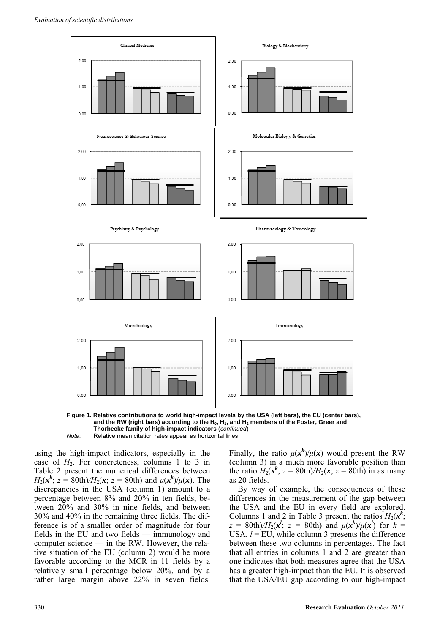



*Note*: Relative mean citation rates appear as horizontal lines

using the high-impact indicators, especially in the case of  $H_2$ . For concreteness, columns 1 to 3 in Table 2 present the numerical differences between *H*<sub>2</sub>( $x^k$ ; *z* = 80th)*/H*<sub>2</sub>( $x$ ; *z* = 80th) and  $\mu(x^k)/\mu(x)$ . The discrepancies in the USA (column 1) amount to a percentage between 8% and 20% in ten fields, between 20% and 30% in nine fields, and between 30% and 40% in the remaining three fields. The difference is of a smaller order of magnitude for four fields in the EU and two fields — immunology and computer science — in the RW. However, the relative situation of the EU (column 2) would be more favorable according to the MCR in 11 fields by a relatively small percentage below 20%, and by a rather large margin above 22% in seven fields.

Finally, the ratio  $\mu(x^k)/\mu(x)$  would present the RW (column 3) in a much more favorable position than the ratio  $H_2(x^k; z = 80th)/H_2(x; z = 80th)$  in as many as 20 fields.

By way of example, the consequences of these differences in the measurement of the gap between the USA and the EU in every field are explored. Columns 1 and 2 in Table 3 present the ratios  $H_2(x^k)$ ; *z* = 80th)/ $H_2(x^l; z = 80$ th) and  $\mu(x^k)/\mu(x^l)$  for  $k =$ USA,  $l = EU$ , while column 3 presents the difference between these two columns in percentages. The fact that all entries in columns 1 and 2 are greater than one indicates that both measures agree that the USA has a greater high-impact than the EU. It is observed that the USA/EU gap according to our high-impact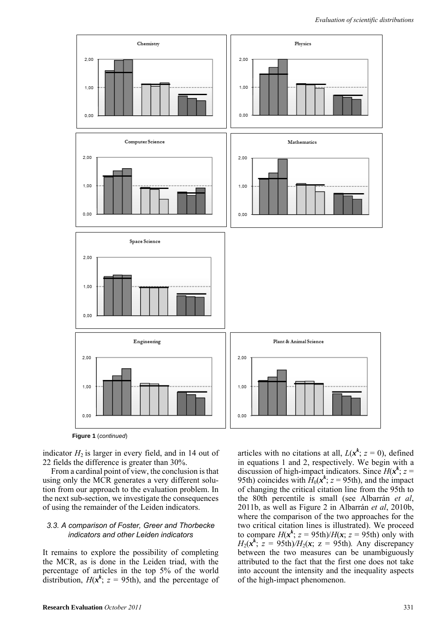

**Figure 1** (*continued*)

indicator  $H_2$  is larger in every field, and in 14 out of 22 fields the difference is greater than 30%.

From a cardinal point of view, the conclusion is that using only the MCR generates a very different solution from our approach to the evaluation problem. In the next sub-section, we investigate the consequences of using the remainder of the Leiden indicators.

#### *3.3. A comparison of Foster, Greer and Thorbecke indicators and other Leiden indicators*

It remains to explore the possibility of completing the MCR, as is done in the Leiden triad, with the percentage of articles in the top 5% of the world distribution,  $H(x^k; z = 95th)$ , and the percentage of

articles with no citations at all,  $L(x^k; z = 0)$ , defined in equations 1 and 2, respectively. We begin with a discussion of high-impact indicators. Since  $H(x^k; z =$ 95th) coincides with  $H_0(x^k; z = 95$ th), and the impact of changing the critical citation line from the 95th to the 80th percentile is small (see Albarrán *et al*, 2011b, as well as Figure 2 in Albarrán *et al*, 2010b, where the comparison of the two approaches for the two critical citation lines is illustrated). We proceed to compare  $H(x^k; z = 95th)/H(x; z = 95th)$  only with  $H_2(x^k)$ ;  $z = 95$ th) $/H_2(x)$ ;  $z = 95$ th). Any discrepancy between the two measures can be unambiguously attributed to the fact that the first one does not take into account the intensity and the inequality aspects of the high-impact phenomenon.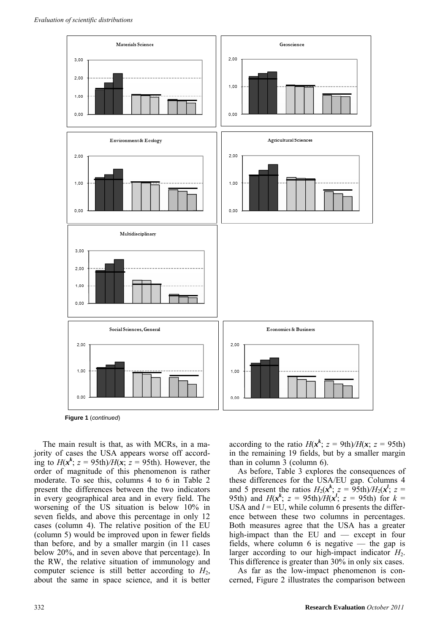

**Figure 1** (*continued*)

The main result is that, as with MCRs, in a majority of cases the USA appears worse off according to  $H(x^k; z = 95th)/H(x; z = 95th)$ . However, the order of magnitude of this phenomenon is rather moderate. To see this, columns 4 to 6 in Table 2 present the differences between the two indicators in every geographical area and in every field. The worsening of the US situation is below 10% in seven fields, and above this percentage in only 12 cases (column 4). The relative position of the EU (column 5) would be improved upon in fewer fields than before, and by a smaller margin (in 11 cases below 20%, and in seven above that percentage). In the RW, the relative situation of immunology and computer science is still better according to *H*2, about the same in space science, and it is better

according to the ratio  $H(x^k; z = 9th)/H(x; z = 95th)$ in the remaining 19 fields, but by a smaller margin than in column 3 (column 6).

As before, Table 3 explores the consequences of these differences for the USA/EU gap. Columns 4 and 5 present the ratios  $H_2(x^k; z = 95$ th)/ $H_2(x^l; z = 1)$ 95th) and  $H(x^k; z = 95th)/H(x^l; z = 95th)$  for  $k =$ USA and  $l = EU$ , while column 6 presents the difference between these two columns in percentages. Both measures agree that the USA has a greater high-impact than the EU and — except in four fields, where column 6 is negative — the gap is larger according to our high-impact indicator  $H_2$ . This difference is greater than 30% in only six cases.

As far as the low-impact phenomenon is concerned, Figure 2 illustrates the comparison between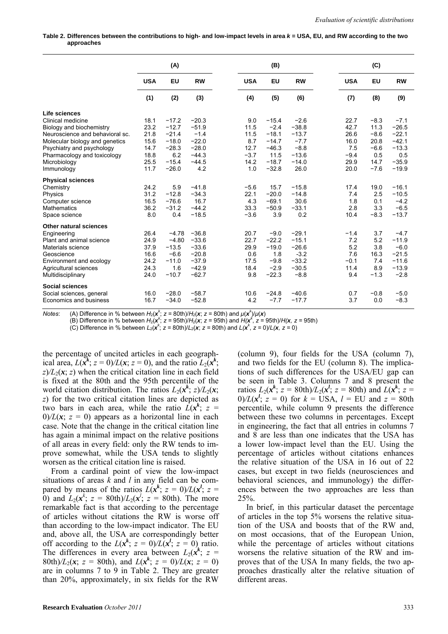Table 2. Differences between the contributions to high- and low-impact levels in area  $k =$  USA, EU, and RW according to the two **approaches** 

|                                 | (A)        |         |           | (B)        |           |           | (C) |            |        |           |
|---------------------------------|------------|---------|-----------|------------|-----------|-----------|-----|------------|--------|-----------|
|                                 | <b>USA</b> | EU      | <b>RW</b> | <b>USA</b> | <b>EU</b> | <b>RW</b> |     | <b>USA</b> | EU     | <b>RW</b> |
|                                 | (1)        | (2)     | (3)       | (4)        | (5)       | (6)       |     | (7)        | (8)    | (9)       |
| Life sciences                   |            |         |           |            |           |           |     |            |        |           |
| Clinical medicine               | 18.1       | $-17.2$ | $-20.3$   | 9.0        | $-15.4$   | $-2.6$    |     | 22.7       | $-8.3$ | $-7.1$    |
| Biology and biochemistry        | 23.2       | $-12.7$ | $-51.9$   | 11.5       | $-2.4$    | $-38.8$   |     | 42.7       | 11.3   | $-26.5$   |
| Neuroscience and behavioral sc. | 21.8       | $-21.4$ | $-1.4$    | 11.5       | $-18.1$   | $-13.7$   |     | 26.6       | $-8.6$ | $-22.1$   |
| Molecular biology and genetics  | 15.6       | $-18.0$ | $-22.0$   | 8.7        | $-14.7$   | $-7.7$    |     | 16.0       | 20.8   | $-42.1$   |
| Psychiatry and psychology       | 14.7       | $-28.3$ | $-28.0$   | 12.7       | $-46.3$   | $-8.8$    |     | 7.5        | $-6.6$ | $-13.3$   |
| Pharmacology and toxicology     | 18.8       | 6.2     | $-44.3$   | $-3.7$     | 11.5      | $-13.6$   |     | $-9.4$     | 0.5    | 0.5       |
| Microbiology                    | 25.5       | $-15.4$ | $-44.5$   | 14.2       | $-18.7$   | $-14.0$   |     | 29.9       | 14.7   | $-35.9$   |
| Immunology                      | 11.7       | $-26.0$ | 4.2       | 1.0        | $-32.8$   | 26.0      |     | 20.0       | $-7.6$ | $-19.9$   |
| <b>Physical sciences</b>        |            |         |           |            |           |           |     |            |        |           |
| Chemistry                       | 24.2       | 5.9     | $-41.8$   | $-5.6$     | 15.7      | $-15.8$   |     | 17.4       | 19.0   | $-16.1$   |
| Physics                         | 31.2       | $-12.8$ | $-34.3$   | 22.1       | $-20.0$   | $-14.8$   |     | 7.4        | 2.5    | $-10.5$   |
| Computer science                | 16.5       | $-76.6$ | 16.7      | 4.3        | $-69.1$   | 30.6      |     | 1.8        | 0.1    | $-4.2$    |
| <b>Mathematics</b>              | 36.2       | $-31.2$ | $-44.2$   | 33.3       | $-50.9$   | $-33.1$   |     | 2.8        | 3.3    | $-6.5$    |
| Space science                   | 8.0        | 0.4     | $-18.5$   | $-3.6$     | 3.9       | 0.2       |     | 10.4       | $-8.3$ | $-13.7$   |
| Other natural sciences          |            |         |           |            |           |           |     |            |        |           |
| Engineering                     | 26.4       | $-4.78$ | $-36.8$   | 20.7       | $-9.0$    | $-29.1$   |     | $-1.4$     | 3.7    | $-4.7$    |
| Plant and animal science        | 24.9       | $-4.80$ | $-33.6$   | 22.7       | $-22.2$   | $-15.1$   |     | 7.2        | 5.2    | $-11.9$   |
| Materials science               | 37.9       | $-13.5$ | $-33.6$   | 29.9       | $-19.0$   | $-26.6$   |     | 5.2        | 3.8    | $-6.0$    |
| Geoscience                      | 16.6       | $-6.6$  | $-20.8$   | 0.6        | 1.8       | $-3.2$    |     | 7.6        | 16.3   | $-21.5$   |
| Environment and ecology         | 24.2       | $-11.0$ | $-37.9$   | 17.5       | $-9.8$    | $-33.2$   |     | $-0.1$     | 7.4    | $-11.6$   |
| Agricultural sciences           | 24.3       | 1.6     | $-42.9$   | 18.4       | $-2.9$    | $-30.5$   |     | 11.4       | 8.9    | $-13.9$   |
| Multidisciplinary               | 24.0       | $-10.7$ | $-62.7$   | 9.8        | $-22.3$   | $-8.8$    |     | 9.4        | $-1.3$ | $-2.8$    |
| <b>Social sciences</b>          |            |         |           |            |           |           |     |            |        |           |
| Social sciences, general        | 16.0       | $-28.0$ | $-58.7$   | 10.6       | $-24.8$   | $-40.6$   |     | 0.7        | $-0.8$ | $-5.0$    |
| Economics and business          | 16.7       | $-34.0$ | $-52.8$   | 4.2        | $-7.7$    | $-17.7$   |     | 3.7        | 0.0    | $-8.3$    |

*Notes:* (A) Difference in % between  $H_2(\mathbf{x}^k; z = 80th)/H_2(\mathbf{x}; z = 80th)$  and  $\mu(\mathbf{x}^k)/\mu(\mathbf{x})$ <br>
(B) Difference in % between  $H_2(\mathbf{x}^k; z = 95th)/H_2(\mathbf{x}; z = 95th)$  and  $H(\mathbf{x}^k, z = 95th)/H(\mathbf{x}, z = 95th)$ <br>
(C) Difference in % be

the percentage of uncited articles in each geographical area,  $L(\mathbf{x}^k; z = 0)/L(\mathbf{x}; z = 0)$ , and the ratio  $L_2(\mathbf{x}^k; z = 0)$  $z/L_2(x; z)$  when the critical citation line in each field is fixed at the 80th and the 95th percentile of the world citation distribution. The ratios  $L_2(x^k; z)/L_2(x; z)$ *z*) for the two critical citation lines are depicted as two bars in each area, while the ratio  $\hat{L}(x^k; z =$  $0/L(x; z = 0)$  appears as a horizontal line in each case. Note that the change in the critical citation line has again a minimal impact on the relative positions of all areas in every field: only the RW tends to improve somewhat, while the USA tends to slightly worsen as the critical citation line is raised.

From a cardinal point of view the low-impact situations of areas *k* and *l* in any field can be compared by means of the ratios  $L(x^k; z = 0)/L(x^l; z = 0)$ 0) and  $L_2(x^k; z = 80th)/L_2(x^l; z = 80th)$ . The more remarkable fact is that according to the percentage of articles without citations the RW is worse off than according to the low-impact indicator. The EU and, above all, the USA are correspondingly better off according to the  $L(x^k; z = 0)/L(x^l; z = 0)$  ratio. The differences in every area between  $L_2(x^k; z)$ 80th)/ $L_2(x; z = 80$ th), and  $L(x^k; z = 0)$ / $L(x; z = 0)$ are in columns 7 to 9 in Table 2. They are greater than 20%, approximately, in six fields for the RW (column 9), four fields for the USA (column 7), and two fields for the EU (column 8). The implications of such differences for the USA/EU gap can be seen in Table 3. Columns 7 and 8 present the ratios  $L_2(x^k; z = 80th)/L_2(x^l; z = 80th)$  and  $L(x^k; z =$  $0/L(x^l; z = 0)$  for  $k = \overline{USA}$ ,  $l = \overline{EU}$  and  $z = 80$ th percentile, while column 9 presents the difference between these two columns in percentages. Except in engineering, the fact that all entries in columns 7 and 8 are less than one indicates that the USA has a lower low-impact level than the EU. Using the percentage of articles without citations enhances the relative situation of the USA in 16 out of 22 cases, but except in two fields (neurosciences and behavioral sciences, and immunology) the differences between the two approaches are less than 25%.

In brief, in this particular dataset the percentage of articles in the top 5% worsens the relative situation of the USA and boosts that of the RW and, on most occasions, that of the European Union, while the percentage of articles without citations worsens the relative situation of the RW and improves that of the USA In many fields, the two approaches drastically alter the relative situation of different areas.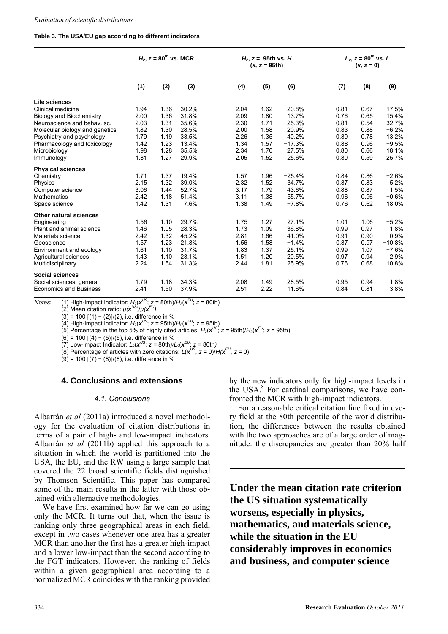#### **Table 3. The USA/EU gap according to different indicators**

|                                 | $H_2$ , $z = 80^{th}$ vs. MCR |      |       |      | $H_2$ , $z = 95$ th vs. H<br>$(x, z = 95th)$ |          | $L_2$ , $z = 80^{th}$ vs. L<br>$(x, z = 0)$ |      |          |  |
|---------------------------------|-------------------------------|------|-------|------|----------------------------------------------|----------|---------------------------------------------|------|----------|--|
|                                 | (1)                           | (2)  | (3)   | (4)  | (5)                                          | (6)      | (7)                                         | (8)  | (9)      |  |
| Life sciences                   |                               |      |       |      |                                              |          |                                             |      |          |  |
| Clinical medicine               | 1.94                          | 1.36 | 30.2% | 2.04 | 1.62                                         | 20.8%    | 0.81                                        | 0.67 | 17.5%    |  |
| <b>Biology and Biochemistry</b> | 2.00                          | 1.36 | 31.8% | 2.09 | 1.80                                         | 13.7%    | 0.76                                        | 0.65 | 15.4%    |  |
| Neuroscience and behav. sc.     | 2.03                          | 1.31 | 35.6% | 2.30 | 1.71                                         | 25.3%    | 0.81                                        | 0.54 | 32.7%    |  |
| Molecular biology and genetics  | 1.82                          | 1.30 | 28.5% | 2.00 | 1.58                                         | 20.9%    | 0.83                                        | 0.88 | $-6.2%$  |  |
| Psychiatry and psychology       | 1.79                          | 1.19 | 33.5% | 2.26 | 1.35                                         | 40.2%    | 0.89                                        | 0.78 | 13.2%    |  |
| Pharmacology and toxicology     | 1.42                          | 1.23 | 13.4% | 1.34 | 1.57                                         | $-17.3%$ | 0.88                                        | 0.96 | $-9.5%$  |  |
| Microbiology                    | 1.98                          | 1.28 | 35.5% | 2.34 | 1.70                                         | 27.5%    | 0.80                                        | 0.66 | 18.1%    |  |
| Immunology                      | 1.81                          | 1.27 | 29.9% | 2.05 | 1.52                                         | 25.6%    | 0.80                                        | 0.59 | 25.7%    |  |
| <b>Physical sciences</b>        |                               |      |       |      |                                              |          |                                             |      |          |  |
| Chemistry                       | 1.71                          | 1.37 | 19.4% | 1.57 | 1.96                                         | $-25.4%$ | 0.84                                        | 0.86 | $-2.6%$  |  |
| Physics                         | 2.15                          | 1.32 | 39.0% | 2.32 | 1.52                                         | 34.7%    | 0.87                                        | 0.83 | 5.2%     |  |
| Computer science                | 3.06                          | 1.44 | 52.7% | 3.17 | 1.79                                         | 43.6%    | 0.88                                        | 0.87 | 1.5%     |  |
| <b>Mathematics</b>              | 2.42                          | 1.18 | 51.4% | 3.11 | 1.38                                         | 55.7%    | 0.96                                        | 0.96 | $-0.6%$  |  |
| Space science                   | 1.42                          | 1.31 | 7.6%  | 1.38 | 1.49                                         | $-7.8%$  | 0.76                                        | 0.62 | 18.0%    |  |
| <b>Other natural sciences</b>   |                               |      |       |      |                                              |          |                                             |      |          |  |
| Engineering                     | 1.56                          | 1.10 | 29.7% | 1.75 | 1.27                                         | 27.1%    | 1.01                                        | 1.06 | $-5.2%$  |  |
| Plant and animal science        | 1.46                          | 1.05 | 28.3% | 1.73 | 1.09                                         | 36.8%    | 0.99                                        | 0.97 | 1.8%     |  |
| Materials science               | 2.42                          | 1.32 | 45.2% | 2.81 | 1.66                                         | 41.0%    | 0.91                                        | 0.90 | 0.9%     |  |
| Geoscience                      | 1.57                          | 1.23 | 21.8% | 1.56 | 1.58                                         | $-1.4%$  | 0.87                                        | 0.97 | $-10.8%$ |  |
| Environment and ecology         | 1.61                          | 1.10 | 31.7% | 1.83 | 1.37                                         | 25.1%    | 0.99                                        | 1.07 | $-7.6%$  |  |
| Agricultural sciences           | 1.43                          | 1.10 | 23.1% | 1.51 | 1.20                                         | 20.5%    | 0.97                                        | 0.94 | 2.9%     |  |
| Multidisciplinary               | 2.24                          | 1.54 | 31.3% | 2.44 | 1.81                                         | 25.9%    | 0.76                                        | 0.68 | 10.8%    |  |
| <b>Social sciences</b>          |                               |      |       |      |                                              |          |                                             |      |          |  |
| Social sciences, general        | 1.79                          | 1.18 | 34.3% | 2.08 | 1.49                                         | 28.5%    | 0.95                                        | 0.94 | 1.8%     |  |
| <b>Economics and Business</b>   | 2.41                          | 1.50 | 37.9% | 2.51 | 2.22                                         | 11.6%    | 0.84                                        | 0.81 | 3.8%     |  |

*Notes*: (1) High-impact indicator:  $H_2(x^{US}; z = 80th)/H_2(x^{EU}; z = 80th)$ 

(2) Mean citation ratio:  $μ(x^{U5})/μ(x^{EU})$ 

(3) = 100 (1) − (2)/(2), i.e. difference in %

(4) High-impact indicator:  $H_2(\mathbf{x}^{US}; z = 95th)/H_2(\mathbf{x}^{EU}; z = 95th)$ 

(5) Percentage in the top 5% of highly cited articles:  $H_2(\mathbf{x}^{US}; z = 95t) / H_2(\mathbf{x}^{EU}; z = 95t)$ 

(6) = 100 (4) − (5)/(5), i.e. difference in %

 $(7)$  Low-impact Indicator:  $L_2(x^{US}; z = 80th)/L_2(x^{EU}; z = 80th)$ 

(8) Percentage of articles with zero citations:  $L(x^{US}, z = 0)/H(x^{EU}, z = 0)$ 

(9) = 100 (7) − (8)/(8), i.e. difference in %

# **4. Conclusions and extensions**

#### *4.1. Conclusions*

Albarrán *et al* (2011a) introduced a novel methodology for the evaluation of citation distributions in terms of a pair of high- and low-impact indicators. Albarrán *et al* (2011b) applied this approach to a situation in which the world is partitioned into the USA, the EU, and the RW using a large sample that covered the 22 broad scientific fields distinguished by Thomson Scientific. This paper has compared some of the main results in the latter with those obtained with alternative methodologies.

We have first examined how far we can go using only the MCR. It turns out that, when the issue is ranking only three geographical areas in each field, except in two cases whenever one area has a greater MCR than another the first has a greater high-impact and a lower low-impact than the second according to the FGT indicators. However, the ranking of fields within a given geographical area according to a normalized MCR coincides with the ranking provided by the new indicators only for high-impact levels in the USA.<sup>8</sup> For cardinal comparisons, we have confronted the MCR with high-impact indicators.

For a reasonable critical citation line fixed in every field at the 80th percentile of the world distribution, the differences between the results obtained with the two approaches are of a large order of magnitude: the discrepancies are greater than 20% half

**Under the mean citation rate criterion the US situation systematically worsens, especially in physics, mathematics, and materials science, while the situation in the EU considerably improves in economics and business, and computer science**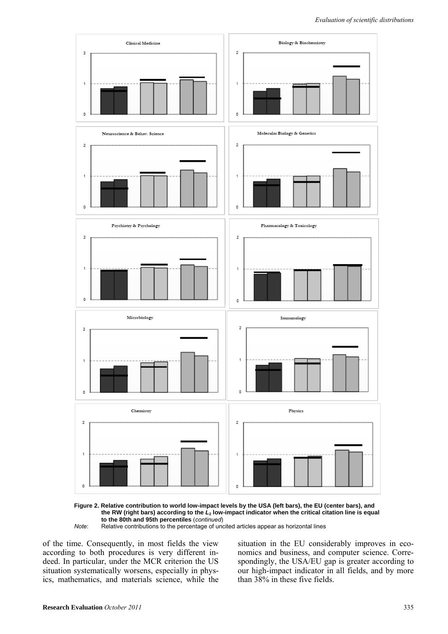

**Figure 2. Relative contribution to world low-impact levels by the USA (left bars), the EU (center bars), and the RW (right bars) according to the** *L***2 low-impact indicator when the critical citation line is equal to the 80th and 95th percentiles** (*continued*)

*Note*: Relative contributions to the percentage of uncited articles appear as horizontal lines

of the time. Consequently, in most fields the view according to both procedures is very different indeed. In particular, under the MCR criterion the US situation systematically worsens, especially in physics, mathematics, and materials science, while the situation in the EU considerably improves in economics and business, and computer science. Correspondingly, the USA/EU gap is greater according to our high-impact indicator in all fields, and by more than 38% in these five fields.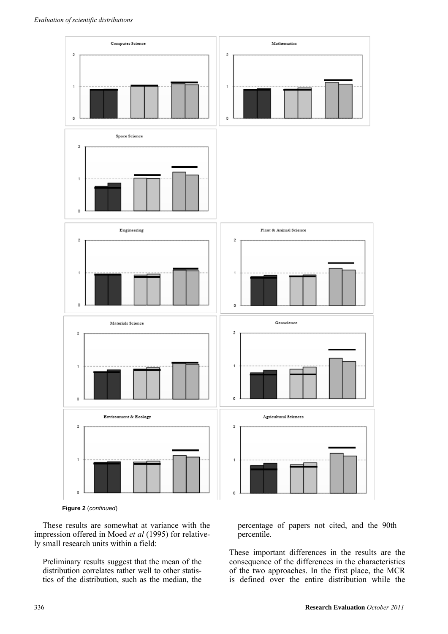

**Figure 2** (*continued*)

These results are somewhat at variance with the impression offered in Moed *et al* (1995) for relatively small research units within a field:

Preliminary results suggest that the mean of the distribution correlates rather well to other statistics of the distribution, such as the median, the

percentage of papers not cited, and the 90th percentile.

These important differences in the results are the consequence of the differences in the characteristics of the two approaches. In the first place, the MCR is defined over the entire distribution while the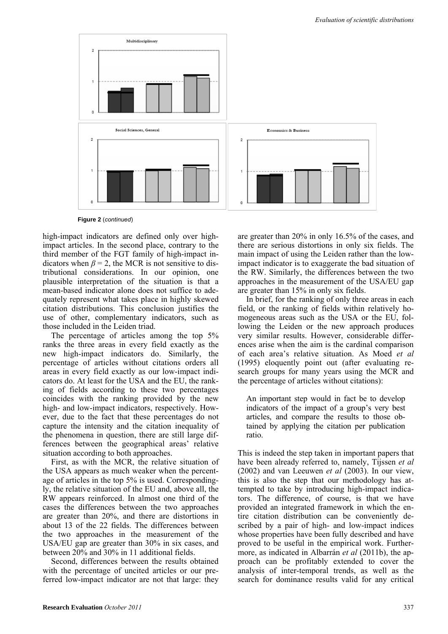

**Figure 2** (*continued*)

high-impact indicators are defined only over highimpact articles. In the second place, contrary to the third member of the FGT family of high-impact indicators when  $\beta = 2$ , the MCR is not sensitive to distributional considerations. In our opinion, one plausible interpretation of the situation is that a mean-based indicator alone does not suffice to adequately represent what takes place in highly skewed citation distributions. This conclusion justifies the use of other, complementary indicators, such as those included in the Leiden triad.

The percentage of articles among the top 5% ranks the three areas in every field exactly as the new high-impact indicators do. Similarly, the percentage of articles without citations orders all areas in every field exactly as our low-impact indicators do. At least for the USA and the EU, the ranking of fields according to these two percentages coincides with the ranking provided by the new high- and low-impact indicators, respectively. However, due to the fact that these percentages do not capture the intensity and the citation inequality of the phenomena in question, there are still large differences between the geographical areas' relative situation according to both approaches.

First, as with the MCR, the relative situation of the USA appears as much weaker when the percentage of articles in the top 5% is used. Correspondingly, the relative situation of the EU and, above all, the RW appears reinforced. In almost one third of the cases the differences between the two approaches are greater than 20%, and there are distortions in about 13 of the 22 fields. The differences between the two approaches in the measurement of the USA/EU gap are greater than 30% in six cases, and between 20% and 30% in 11 additional fields.

Second, differences between the results obtained with the percentage of uncited articles or our preferred low-impact indicator are not that large: they are greater than 20% in only 16.5% of the cases, and there are serious distortions in only six fields. The main impact of using the Leiden rather than the lowimpact indicator is to exaggerate the bad situation of the RW. Similarly, the differences between the two approaches in the measurement of the USA/EU gap are greater than 15% in only six fields.

In brief, for the ranking of only three areas in each field, or the ranking of fields within relatively homogeneous areas such as the USA or the EU, following the Leiden or the new approach produces very similar results. However, considerable differences arise when the aim is the cardinal comparison of each area's relative situation. As Moed *et al* (1995) eloquently point out (after evaluating research groups for many years using the MCR and the percentage of articles without citations):

An important step would in fact be to develop indicators of the impact of a group's very best articles, and compare the results to those obtained by applying the citation per publication ratio.

This is indeed the step taken in important papers that have been already referred to, namely, Tijssen *et al* (2002) and van Leeuwen *et al* (2003). In our view, this is also the step that our methodology has attempted to take by introducing high-impact indicators. The difference, of course, is that we have provided an integrated framework in which the entire citation distribution can be conveniently described by a pair of high- and low-impact indices whose properties have been fully described and have proved to be useful in the empirical work. Furthermore, as indicated in Albarrán *et al* (2011b), the approach can be profitably extended to cover the analysis of inter-temporal trends, as well as the search for dominance results valid for any critical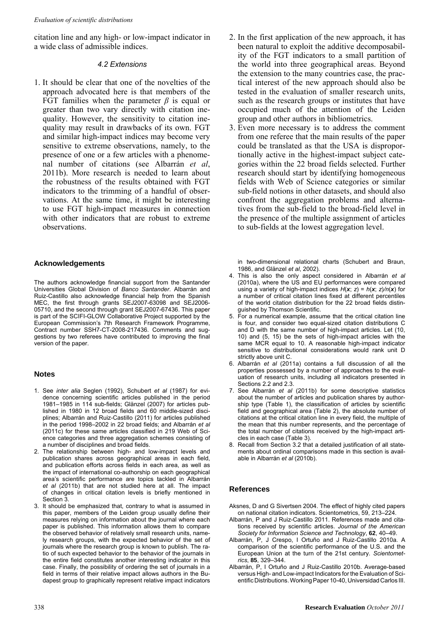citation line and any high- or low-impact indicator in a wide class of admissible indices.

#### *4.2 Extensions*

1. It should be clear that one of the novelties of the approach advocated here is that members of the FGT families when the parameter *β* is equal or greater than two vary directly with citation inequality. However, the sensitivity to citation inequality may result in drawbacks of its own. FGT and similar high-impact indices may become very sensitive to extreme observations, namely, to the presence of one or a few articles with a phenomenal number of citations (see Albarrán *et al*, 2011b). More research is needed to learn about the robustness of the results obtained with FGT indicators to the trimming of a handful of observations. At the same time, it might be interesting to use FGT high-impact measures in connection with other indicators that are robust to extreme observations.

### **Acknowledgements**

The authors acknowledge financial support from the Santander Universities Global Division of *Banco Santander*. Albarrán and Ruiz-Castillo also acknowledge financial help from the Spanish MEC, the first through grants SEJ2007-63098 and SEJ2006- 05710, and the second through grant SEJ2007-67436. This paper is part of the SCIFI-GLOW Collaborative Project supported by the European Commission's 7th Research Framework Programme, Contract number SSH7-CT-2008-217436. Comments and suggestions by two referees have contributed to improving the final version of the paper.

#### **Notes**

- 1. See *inter alia* Seglen (1992), Schubert *et al* (1987) for evidence concerning scientific articles published in the period 1981–1985 in 114 sub-fields; Glänzel (2007) for articles published in 1980 in 12 broad fields and 60 middle-sized disciplines; Albarrán and Ruiz-Castillo (2011) for articles published in the period 1998–2002 in 22 broad fields; and Albarrán *et al* (2011c) for these same articles classified in 219 Web of Science categories and three aggregation schemes consisting of a number of disciplines and broad fields.
- 2. The relationship between high- and low-impact levels and publication shares across geographical areas in each field, and publication efforts across fields in each area, as well as the impact of international co-authorship on each geographical area's scientific performance are topics tackled in Albarrán *et al* (2011b) that are not studied here at all. The impact of changes in critical citation levels is briefly mentioned in Section 3.
- 3. It should be emphasized that, contrary to what is assumed in this paper, members of the Leiden group usually define their measures relying on information about the journal where each paper is published. This information allows them to compare the observed behavior of relatively small research units, namely research groups, with the expected behavior of the set of journals where the research group is known to publish. The ratio of such expected behavior to the behavior of the journals in the entire field constitutes another interesting indicator in this case. Finally, the possibility of ordering the set of journals in a field in terms of their relative impact allows authors in the Budapest group to graphically represent relative impact indicators
- 2. In the first application of the new approach, it has been natural to exploit the additive decomposability of the FGT indicators to a small partition of the world into three geographical areas. Beyond the extension to the many countries case, the practical interest of the new approach should also be tested in the evaluation of smaller research units, such as the research groups or institutes that have occupied much of the attention of the Leiden group and other authors in bibliometrics.
- 3. Even more necessary is to address the comment from one referee that the main results of the paper could be translated as that the USA is disproportionally active in the highest-impact subject categories within the 22 broad fields selected. Further research should start by identifying homogeneous fields with Web of Science categories or similar sub-field notions in other datasets, and should also confront the aggregation problems and alternatives from the sub-field to the broad-field level in the presence of the multiple assignment of articles to sub-fields at the lowest aggregation level.

in two-dimensional relational charts (Schubert and Braun, 1986, and Glänzel *et al*, 2002).

- 4. This is also the only aspect considered in Albarrán *et al* (2010a), where the US and EU performances were compared using a variety of high-impact indices  $H(x, z) = h(x, z)/n(x)$  for a number of critical citation lines fixed at different percentiles of the world citation distribution for the 22 broad fields distinguished by Thomson Scientific.
- 5. For a numerical example, assume that the critical citation line is four, and consider two equal-sized citation distributions C and D with the same number of high-impact articles. Let (10, 10) and (5, 15) be the sets of high-impact articles with the same MCR equal to 10. A reasonable high-impact indicator sensitive to distributional considerations would rank unit D strictly above unit C.
- 6. Albarrán *et al* (2011a) contains a full discussion of all the properties possessed by a number of approaches to the evaluation of research units, including all indicators presented in Sections 2.2 and 2.3.
- 7. See Albarrán *et al* (2011b) for some descriptive statistics about the number of articles and publication shares by authorship type (Table 1), the classification of articles by scientific field and geographical area (Table 2), the absolute number of citations at the critical citation line in every field, the multiple of the mean that this number represents, and the percentage of the total number of citations received by the high-impact articles in each case (Table 3).
- 8. Recall from Section 3.2 that a detailed justification of all statements about ordinal comparisons made in this section is available in Albarrán *et al* (2010b).

# **References**

- Aksnes, D and G Sivertsen 2004. The effect of highly cited papers on national citation indicators. Scientometrics, 59, 213–224.
- Albarrán, P and J Ruiz-Castillo 2011. References made and citations received by scientific articles. *Journal of the American Society for Information Science and Technology*, **62**, 40–49.
- Albarrán, P, J Crespo, I Ortuño and J Ruiz-Castillo 2010a. A comparison of the scientific performance of the U.S. and the European Union at the turn of the 21st century. *Scientometrics*, **85**, 329–344.
- Albarrán, P, I Ortuño and J Ruiz-Castillo 2010b. Average-based versus High- and Low-impact Indicators for the Evaluation of Scientific Distributions. Working Paper 10-40, Universidad Carlos III.